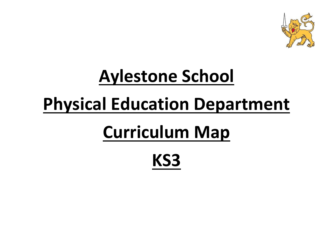

# **Aylestone School Physical Education Department**

# **Curriculum Map**

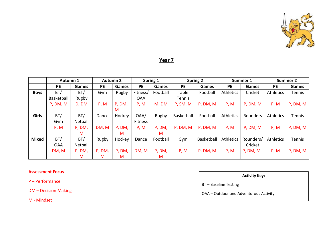

### **Year 7**

|              | Autumn 1   |         | <b>Autumn 2</b> |              | Spring 1   |              | <b>Spring 2</b> |            | Summer 1         |           | Summer 2         |               |
|--------------|------------|---------|-----------------|--------------|------------|--------------|-----------------|------------|------------------|-----------|------------------|---------------|
|              | PE         | Games   | <b>PE</b>       | <b>Games</b> | <b>PE</b>  | <b>Games</b> | <b>PE</b>       | Games      | <b>PE</b>        | Games     | <b>PE</b>        | Games         |
| <b>Boys</b>  | BT/        | BT/     | Gym             | Rugby        | Fitness/   | Football     | Table           | Football   | <b>Athletics</b> | Cricket   | <b>Athletics</b> | <b>Tennis</b> |
|              | Basketball | Rugby   |                 |              | <b>OAA</b> |              | Tennis          |            |                  |           |                  |               |
|              | P, DM, M   | D, DM   | P, M            | P, DM,       | P, M       | M, DM        | P, SM, M        | P, DM, M   | P, M             | P, DM, M  | P, M             | P, DM, M      |
|              |            |         |                 | M            |            |              |                 |            |                  |           |                  |               |
| Girls        | BT/        | BT/     | Dance           | Hockey       | OAA/       | Rugby        | Basketball      | Football   | Athletics        | Rounders  | <b>Athletics</b> | <b>Tennis</b> |
|              | Gym        | Netball |                 |              | Fitness    |              |                 |            |                  |           |                  |               |
|              | P, M       | P, DM,  | DM, M           | P, DM,       | P, M       | P, DM,       | P, DM, M        | P, DM, M   | P, M             | P, DM, M  | P, M             | P, DM, M      |
|              |            | м       |                 | M            |            | м            |                 |            |                  |           |                  |               |
| <b>Mixed</b> | BT/        | BT/     | Rugby           | Hockey       | Dance      | Football     | Gym             | Basketball | Athletics        | Rounders/ | <b>Athletics</b> | <b>Tennis</b> |
|              | <b>OAA</b> | Netball |                 |              |            |              |                 |            |                  | Cricket   |                  |               |
|              | DM, M      | P, DM,  | P, DM,          | P, DM,       | DM, M      | P, DM,       | P, M            | P, DM, M   | P, M             | P, DM, M  | P, M             | P, DM, M      |
|              |            | м       | M               | M            |            | М            |                 |            |                  |           |                  |               |

#### **Assessment Focus**

P – Performance

DM – Decision Making

M - Mindset

#### **Activity Key:**

BT – Baseline Testing

OAA – Outdoor and Adventurous Activity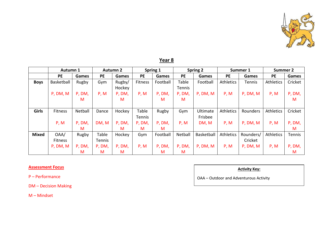

|              | Autumn 1       |         | <b>Autumn 2</b> |        | Spring 1      |          | Spring 2  |            | Summer 1         |           | <b>Summer 2</b> |         |
|--------------|----------------|---------|-----------------|--------|---------------|----------|-----------|------------|------------------|-----------|-----------------|---------|
|              | <b>PE</b>      | Games   | <b>PE</b>       | Games  | <b>PE</b>     | Games    | <b>PE</b> | Games      | <b>PE</b>        | Games     | <b>PE</b>       | Games   |
| <b>Boys</b>  | Basketball     | Rugby   | Gym             | Rugby/ | Fitness       | Football | Table     | Football   | <b>Athletics</b> | Tennis    | Athletics       | Cricket |
|              |                |         |                 | Hockey |               |          | Tennis    |            |                  |           |                 |         |
|              | P, DM, M       | P, DM,  | P, M            | P, DM, | P, M          | P, DM,   | P, DM,    | P, DM, M   | P, M             | P, DM, M  | P, M            | P, DM,  |
|              |                | M       |                 | M      |               | M        | M         |            |                  |           |                 | M       |
|              |                |         |                 |        |               |          |           |            |                  |           |                 |         |
| <b>Girls</b> | Fitness        | Netball | Dance           | Hockey | Table         | Rugby    | Gym       | Ultimate   | Athletics        | Rounders  | Athletics       | Cricket |
|              |                |         |                 |        | <b>Tennis</b> |          |           | Frisbee    |                  |           |                 |         |
|              | P, M           | P, DM,  | DM, M           | P, DM, | P, DM,        | P, DM,   | P, M      | DM, M      | P, M             | P, DM, M  | P, M            | P, DM,  |
|              |                | м       |                 | м      | M             | м        |           |            |                  |           |                 | M       |
| <b>Mixed</b> | OAA/           | Rugby   | Table           | Hockey | Gym           | Football | Netball   | Basketball | <b>Athletics</b> | Rounders/ | Athletics       | Tennis  |
|              | <b>Fitness</b> |         | Tennis          |        |               |          |           |            |                  | Cricket   |                 |         |
|              | P, DM, M       | P, DM,  | P, DM,          | P, DM, | P, M          | P, DM,   | P, DM,    | P, DM, M   | P, M             | P, DM, M  | P, M            | P, DM,  |
|              |                | м       | M               | M      |               | M        | M         |            |                  |           |                 | M       |

#### **Assessment Focus**

P – Performance

DM – Decision Making

M – Mindset

**Activity Key:**

OAA – Outdoor and Adventurous Activity